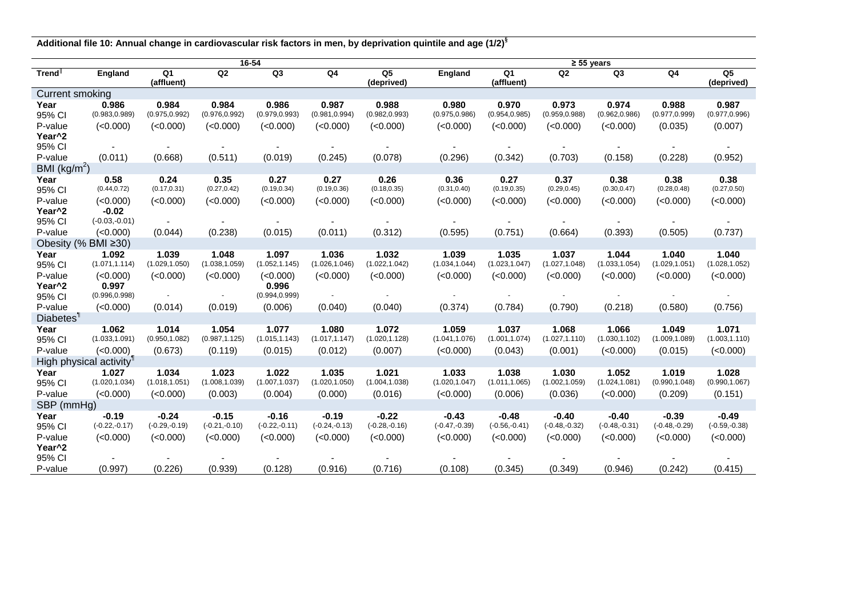**Additional file 10: Annual change in cardiovascular risk factors in men, by deprivation quintile and age (1/2)§**

|                                     | 16-54           |                 |                 |                 |                 |                 | $\geq 55$ years |                 |                 |                 |                 |                 |  |
|-------------------------------------|-----------------|-----------------|-----------------|-----------------|-----------------|-----------------|-----------------|-----------------|-----------------|-----------------|-----------------|-----------------|--|
| Trend <sup>®</sup>                  | England         | Q <sub>1</sub>  | Q2              | Q <sub>3</sub>  | Q <sub>4</sub>  | Q5              | <b>England</b>  | Q <sub>1</sub>  | Q2              | Q3              | Q4              | Q <sub>5</sub>  |  |
|                                     |                 | (affluent)      |                 |                 |                 | (deprived)      |                 | (affluent)      |                 |                 |                 | (deprived)      |  |
| <b>Current smoking</b>              |                 |                 |                 |                 |                 |                 |                 |                 |                 |                 |                 |                 |  |
| Year                                | 0.986           | 0.984           | 0.984           | 0.986           | 0.987           | 0.988           | 0.980           | 0.970           | 0.973           | 0.974           | 0.988           | 0.987           |  |
| 95% CI                              | (0.983, 0.989)  | (0.975, 0.992)  | (0.976, 0.992)  | (0.979, 0.993)  | (0.981, 0.994)  | (0.982, 0.993)  | (0.975, 0.986)  | (0.954, 0.985)  | (0.959, 0.988)  | (0.962, 0.986)  | (0.977, 0.999)  | (0.977, 0.996)  |  |
| P-value                             | (<0.000)        | (<0.000)        | (<0.000)        | (<0.000)        | (<0.000)        | (<0.000)        | (<0.000)        | (<0.000)        | (<0.000)        | (<0.000)        | (0.035)         | (0.007)         |  |
| Year <sup>^2</sup>                  |                 |                 |                 |                 |                 |                 |                 |                 |                 |                 |                 |                 |  |
| 95% CI                              |                 |                 |                 |                 |                 |                 |                 |                 |                 |                 |                 |                 |  |
| P-value                             | (0.011)         | (0.668)         | (0.511)         | (0.019)         | (0.245)         | (0.078)         | (0.296)         | (0.342)         | (0.703)         | (0.158)         | (0.228)         | (0.952)         |  |
| BMI $(kg/m^2)$                      |                 |                 |                 |                 |                 |                 |                 |                 |                 |                 |                 |                 |  |
| Year                                | 0.58            | 0.24            | 0.35            | 0.27            | 0.27            | 0.26            | 0.36            | 0.27            | 0.37            | 0.38            | 0.38            | 0.38            |  |
| 95% CI                              | (0.44, 0.72)    | (0.17, 0.31)    | (0.27, 0.42)    | (0.19, 0.34)    | (0.19, 0.36)    | (0.18, 0.35)    | (0.31, 0.40)    | (0.19, 0.35)    | (0.29, 0.45)    | (0.30, 0.47)    | (0.28, 0.48)    | (0.27, 0.50)    |  |
| P-value                             | (<0.000)        | (<0.000)        | (<0.000)        | (<0.000)        | (<0.000)        | (<0.000)        | (<0.000)        | (<0.000)        | (<0.000)        | (<0.000)        | (<0.000)        | (<0.000)        |  |
| Year <sup>^2</sup>                  | $-0.02$         |                 |                 |                 |                 |                 |                 |                 |                 |                 |                 |                 |  |
| 95% CI                              | $(-0.03,-0.01)$ | $\sim$          |                 |                 |                 |                 |                 |                 |                 |                 |                 |                 |  |
| P-value                             | (<0.000)        | (0.044)         | (0.238)         | (0.015)         | (0.011)         | (0.312)         | (0.595)         | (0.751)         | (0.664)         | (0.393)         | (0.505)         | (0.737)         |  |
| Obesity (% BMI ≥30)                 |                 |                 |                 |                 |                 |                 |                 |                 |                 |                 |                 |                 |  |
| Year                                | 1.092           | 1.039           | 1.048           | 1.097           | 1.036           | 1.032           | 1.039           | 1.035           | 1.037           | 1.044           | 1.040           | 1.040           |  |
| 95% CI                              | (1.071, 1.114)  | (1.029, 1.050)  | (1.038, 1.059)  | (1.052, 1.145)  | (1.026, 1.046)  | (1.022, 1.042)  | (1.034, 1.044)  | (1.023, 1.047)  | (1.027, 1.048)  | (1.033, 1.054)  | (1.029, 1.051)  | (1.028, 1.052)  |  |
| P-value                             | (<0.000)        | (<0.000)        | (<0.000)        | (<0.000)        | (<0.000)        | (<0.000)        | (<0.000)        | (<0.000)        | (<0.000)        | (<0.000)        | (<0.000)        | (<0.000)        |  |
| Year <sup>^2</sup>                  | 0.997           |                 |                 | 0.996           |                 |                 |                 |                 |                 |                 |                 |                 |  |
| 95% CI                              | (0.996, 0.998)  | $\sim$          |                 | (0.994, 0.999)  |                 |                 |                 |                 |                 |                 |                 |                 |  |
| P-value                             | (<0.000)        | (0.014)         | (0.019)         | (0.006)         | (0.040)         | (0.040)         | (0.374)         | (0.784)         | (0.790)         | (0.218)         | (0.580)         | (0.756)         |  |
| Diabetes <sup>1</sup>               |                 |                 |                 |                 |                 |                 |                 |                 |                 |                 |                 |                 |  |
| Year                                | 1.062           | 1.014           | 1.054           | 1.077           | 1.080           | 1.072           | 1.059           | 1.037           | 1.068           | 1.066           | 1.049           | 1.071           |  |
| 95% CI                              | (1.033, 1.091)  | (0.950, 1.082)  | (0.987, 1.125)  | (1.015, 1.143)  | (1.017, 1.147)  | (1.020,1.128)   | (1.041, 1.076)  | (1.001, 1.074)  | (1.027, 1.110)  | (1.030, 1.102)  | (1.009, 1.089)  | (1.003, 1.110)  |  |
| P-value                             | (<0.000)        | (0.673)         | (0.119)         | (0.015)         | (0.012)         | (0.007)         | (<0.000)        | (0.043)         | (0.001)         | (<0.000)        | (0.015)         | (<0.000)        |  |
| High physical activity <sup>1</sup> |                 |                 |                 |                 |                 |                 |                 |                 |                 |                 |                 |                 |  |
| Year                                | 1.027           | 1.034           | 1.023           | 1.022           | 1.035           | 1.021           | 1.033           | 1.038           | 1.030           | 1.052           | 1.019           | 1.028           |  |
| 95% CI                              | (1.020, 1.034)  | (1.018, 1.051)  | (1.008, 1.039)  | (1.007, 1.037)  | (1.020, 1.050)  | (1.004, 1.038)  | (1.020, 1.047)  | (1.011, 1.065)  | (1.002, 1.059)  | (1.024, 1.081)  | (0.990, 1.048)  | (0.990, 1.067)  |  |
| P-value                             | (<0.000)        | (<0.000)        | (0.003)         | (0.004)         | (0.000)         | (0.016)         | (<0.000)        | (0.006)         | (0.036)         | (<0.000)        | (0.209)         | (0.151)         |  |
| SBP (mmHg)                          |                 |                 |                 |                 |                 |                 |                 |                 |                 |                 |                 |                 |  |
| Year                                | $-0.19$         | $-0.24$         | $-0.15$         | $-0.16$         | $-0.19$         | $-0.22$         | $-0.43$         | $-0.48$         | $-0.40$         | $-0.40$         | $-0.39$         | $-0.49$         |  |
| 95% CI                              | $(-0.22,-0.17)$ | $(-0.29,-0.19)$ | $(-0.21,-0.10)$ | $(-0.22,-0.11)$ | $(-0.24,-0.13)$ | $(-0.28,-0.16)$ | $(-0.47,-0.39)$ | $(-0.56,-0.41)$ | $(-0.48,-0.32)$ | $(-0.48,-0.31)$ | $(-0.48,-0.29)$ | $(-0.59,-0.38)$ |  |
| P-value                             | (<0.000)        | (<0.000)        | (<0.000)        | (<0.000)        | (<0.000)        | (<0.000)        | (<0.000)        | (<0.000)        | (<0.000)        | (<0.000)        | (<0.000)        | (<0.000)        |  |
| Year <sup>^2</sup>                  |                 |                 |                 |                 |                 |                 |                 |                 |                 |                 |                 |                 |  |
| 95% CI                              |                 |                 |                 |                 |                 |                 |                 |                 |                 |                 |                 |                 |  |
| P-value                             | (0.997)         | (0.226)         | (0.939)         | (0.128)         | (0.916)         | (0.716)         | (0.108)         | (0.345)         | (0.349)         | (0.946)         | (0.242)         | (0.415)         |  |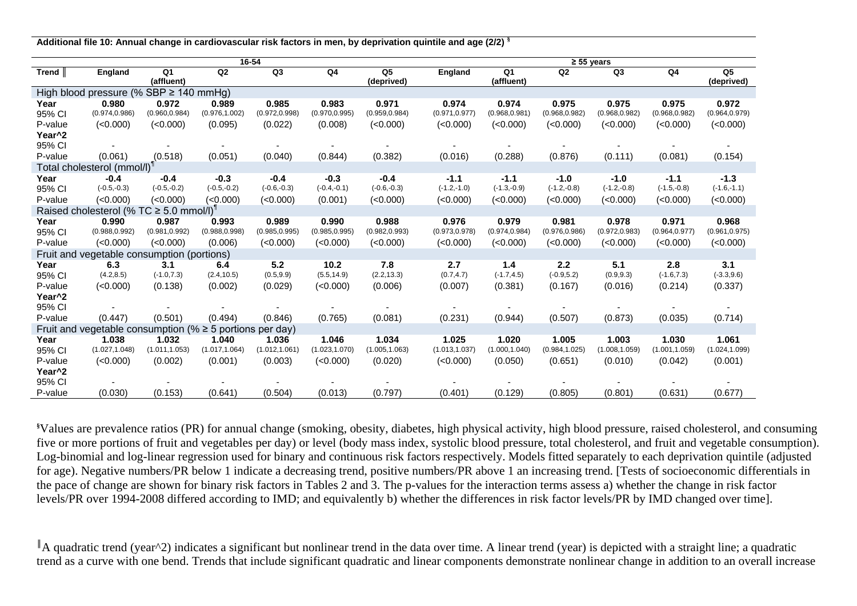**Additional file 10: Annual change in cardiovascular risk factors in men, by deprivation quintile and age (2/2) §**

|                                                               | 16-54                                       |                  |                |                |                |                              |                | $\geq 55$ years              |                |                |                |                              |  |  |
|---------------------------------------------------------------|---------------------------------------------|------------------|----------------|----------------|----------------|------------------------------|----------------|------------------------------|----------------|----------------|----------------|------------------------------|--|--|
| Trend                                                         | <b>England</b>                              | Q1<br>(affluent) | Q2             | Q3             | Q <sub>4</sub> | Q <sub>5</sub><br>(deprived) | <b>England</b> | Q <sub>1</sub><br>(affluent) | Q2             | Q <sub>3</sub> | Q <sub>4</sub> | Q <sub>5</sub><br>(deprived) |  |  |
|                                                               | High blood pressure (% SBP $\geq$ 140 mmHg) |                  |                |                |                |                              |                |                              |                |                |                |                              |  |  |
| Year                                                          | 0.980                                       | 0.972            | 0.989          | 0.985          | 0.983          | 0.971                        | 0.974          | 0.974                        | 0.975          | 0.975          | 0.975          | 0.972                        |  |  |
| 95% CI                                                        | (0.974, 0.986)                              | (0.960, 0.984)   | (0.976, 1.002) | (0.972, 0.998) | (0.970, 0.995) | (0.959, 0.984)               | (0.971, 0.977) | (0.968, 0.981)               | (0.968, 0.982) | (0.968, 0.982) | (0.968, 0.982) | (0.964, 0.979)               |  |  |
| P-value                                                       | (<0.000)                                    | (<0.000)         | (0.095)        | (0.022)        | (0.008)        | (<0.000)                     | (<0.000)       | (<0.000)                     | (<0.000)       | (<0.000)       | (<0.000)       | (<0.000)                     |  |  |
| Year <sup>^2</sup>                                            |                                             |                  |                |                |                |                              |                |                              |                |                |                |                              |  |  |
| 95% CI                                                        |                                             |                  |                |                |                |                              |                |                              |                |                |                |                              |  |  |
| P-value                                                       | (0.061)                                     | (0.518)          | (0.051)        | (0.040)        | (0.844)        | (0.382)                      | (0.016)        | (0.288)                      | (0.876)        | (0.111)        | (0.081)        | (0.154)                      |  |  |
| Total cholesterol (mmol/l) <sup>1</sup>                       |                                             |                  |                |                |                |                              |                |                              |                |                |                |                              |  |  |
| Year                                                          | $-0.4$                                      | $-0.4$           | $-0.3$         | $-0.4$         | $-0.3$         | $-0.4$                       | $-1.1$         | $-1.1$                       | $-1.0$         | $-1.0$         | $-1.1$         | $-1.3$                       |  |  |
| 95% CI                                                        | $(-0.5,-0.3)$                               | $(-0.5,-0.2)$    | $(-0.5,-0.2)$  | $(-0.6,-0.3)$  | $(-0.4,-0.1)$  | $(-0.6,-0.3)$                | $(-1.2,-1.0)$  | $(-1.3,-0.9)$                | $(-1.2,-0.8)$  | $(-1.2,-0.8)$  | $(-1.5,-0.8)$  | $(-1.6,-1.1)$                |  |  |
| P-value                                                       | (<0.000)                                    | (<0.000)         | (<0.000)       | (<0.000)       | (0.001)        | (<0.000)                     | (<0.000)       | (<0.000)                     | (<0.000)       | (<0.000)       | (<0.000)       | (<0.000)                     |  |  |
| Raised cholesterol (% TC $\geq$ 5.0 mmol/l) <sup>1</sup>      |                                             |                  |                |                |                |                              |                |                              |                |                |                |                              |  |  |
| Year                                                          | 0.990                                       | 0.987            | 0.993          | 0.989          | 0.990          | 0.988                        | 0.976          | 0.979                        | 0.981          | 0.978          | 0.971          | 0.968                        |  |  |
| 95% CI                                                        | (0.988, 0.992)                              | (0.981, 0.992)   | (0.988, 0.998) | (0.985, 0.995) | (0.985, 0.995) | (0.982, 0.993)               | (0.973, 0.978) | (0.974, 0.984)               | (0.976, 0.986) | (0.972, 0.983) | (0.964, 0.977) | (0.961, 0.975)               |  |  |
| P-value                                                       | (<0.000)                                    | (<0.000)         | (0.006)        | (<0.000)       | (<0.000)       | (<0.000)                     | (<0.000)       | (<0.000)                     | (<0.000)       | (<0.000)       | (<0.000)       | (<0.000)                     |  |  |
|                                                               | Fruit and vegetable consumption (portions)  |                  |                |                |                |                              |                |                              |                |                |                |                              |  |  |
| Year                                                          | 6.3                                         | 3.1              | 6.4            | 5.2            | 10.2           | 7.8                          | 2.7            | 1.4                          | 2.2            | 5.1            | 2.8            | 3.1                          |  |  |
| 95% CI                                                        | (4.2, 8.5)                                  | $(-1.0, 7.3)$    | (2.4, 10.5)    | (0.5, 9.9)     | (5.5, 14.9)    | (2.2, 13.3)                  | (0.7, 4.7)     | $(-1.7, 4.5)$                | $(-0.9, 5.2)$  | (0.9, 9.3)     | $(-1.6, 7.3)$  | $(-3.3, 9.6)$                |  |  |
| P-value                                                       | (<0.000)                                    | (0.138)          | (0.002)        | (0.029)        | (<0.000)       | (0.006)                      | (0.007)        | (0.381)                      | (0.167)        | (0.016)        | (0.214)        | (0.337)                      |  |  |
| Year <sup>^2</sup>                                            |                                             |                  |                |                |                |                              |                |                              |                |                |                |                              |  |  |
| 95% CI                                                        |                                             |                  |                |                |                |                              |                |                              |                |                |                |                              |  |  |
| P-value                                                       | (0.447)                                     | (0.501)          | (0.494)        | (0.846)        | (0.765)        | (0.081)                      | (0.231)        | (0.944)                      | (0.507)        | (0.873)        | (0.035)        | (0.714)                      |  |  |
| Fruit and vegetable consumption (% $\geq$ 5 portions per day) |                                             |                  |                |                |                |                              |                |                              |                |                |                |                              |  |  |
| Year                                                          | 1.038                                       | 1.032            | 1.040          | 1.036          | 1.046          | 1.034                        | 1.025          | 1.020                        | 1.005          | 1.003          | 1.030          | 1.061                        |  |  |
| 95% CI                                                        | (1.027, 1.048)                              | (1.011, 1.053)   | (1.017, 1.064) | (1.012, 1.061) | (1.023, 1.070) | (1.005, 1.063)               | (1.013, 1.037) | (1.000, 1.040)               | (0.984, 1.025) | (1.008, 1.059) | (1.001, 1.059) | (1.024, 1.099)               |  |  |
| P-value                                                       | (<0.000)                                    | (0.002)          | (0.001)        | (0.003)        | (<0.000)       | (0.020)                      | (<0.000)       | (0.050)                      | (0.651)        | (0.010)        | (0.042)        | (0.001)                      |  |  |
| Year <sup>^2</sup>                                            |                                             |                  |                |                |                |                              |                |                              |                |                |                |                              |  |  |
| 95% CI                                                        |                                             |                  |                |                |                |                              |                |                              |                |                |                |                              |  |  |
| P-value                                                       | (0.030)                                     | (0.153)          | (0.641)        | (0.504)        | (0.013)        | (0.797)                      | (0.401)        | (0.129)                      | (0.805)        | (0.801)        | (0.631)        | (0.677)                      |  |  |

**§**Values are prevalence ratios (PR) for annual change (smoking, obesity, diabetes, high physical activity, high blood pressure, raised cholesterol, and consuming five or more portions of fruit and vegetables per day) or level (body mass index, systolic blood pressure, total cholesterol, and fruit and vegetable consumption). Log-binomial and log-linear regression used for binary and continuous risk factors respectively. Models fitted separately to each deprivation quintile (adjusted for age). Negative numbers/PR below 1 indicate a decreasing trend, positive numbers/PR above 1 an increasing trend. [Tests of socioeconomic differentials in the pace of change are shown for binary risk factors in Tables 2 and 3. The p-values for the interaction terms assess a) whether the change in risk factor levels/PR over 1994-2008 differed according to IMD; and equivalently b) whether the differences in risk factor levels/PR by IMD changed over time].

 $\parallel$  A quadratic trend (year<sup> $\land$ </sup>2) indicates a significant but nonlinear trend in the data over time. A linear trend (year) is depicted with a straight line; a quadratic trend as a curve with one bend. Trends that include significant quadratic and linear components demonstrate nonlinear change in addition to an overall increase